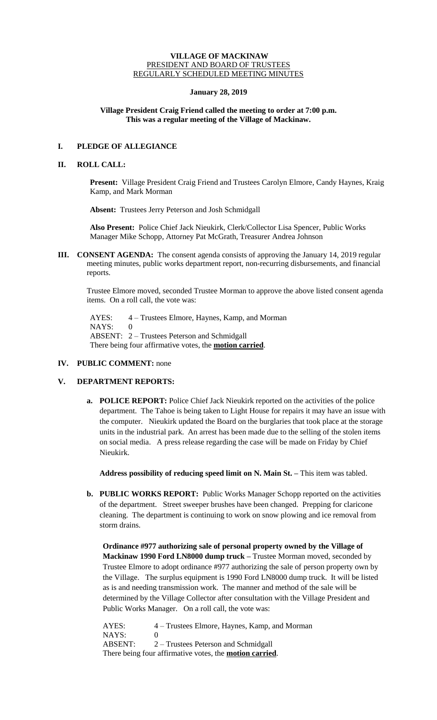### **VILLAGE OF MACKINAW** PRESIDENT AND BOARD OF TRUSTEES REGULARLY SCHEDULED MEETING MINUTES

## **January 28, 2019**

## **Village President Craig Friend called the meeting to order at 7:00 p.m. This was a regular meeting of the Village of Mackinaw.**

# **I. PLEDGE OF ALLEGIANCE**

## **II. ROLL CALL:**

**Present:** Village President Craig Friend and Trustees Carolyn Elmore, Candy Haynes, Kraig Kamp, and Mark Morman

**Absent:** Trustees Jerry Peterson and Josh Schmidgall

**Also Present:** Police Chief Jack Nieukirk, Clerk/Collector Lisa Spencer, Public Works Manager Mike Schopp, Attorney Pat McGrath, Treasurer Andrea Johnson

**III. CONSENT AGENDA:** The consent agenda consists of approving the January 14, 2019 regular meeting minutes, public works department report, non-recurring disbursements, and financial reports.

Trustee Elmore moved, seconded Trustee Morman to approve the above listed consent agenda items. On a roll call, the vote was:

AYES: 4 – Trustees Elmore, Haynes, Kamp, and Morman NAYS: 0 ABSENT: 2 – Trustees Peterson and Schmidgall There being four affirmative votes, the **motion carried**.

## **IV. PUBLIC COMMENT:** none

## **V. DEPARTMENT REPORTS:**

**a. POLICE REPORT:** Police Chief Jack Nieukirk reported on the activities of the police department. The Tahoe is being taken to Light House for repairs it may have an issue with the computer. Nieukirk updated the Board on the burglaries that took place at the storage units in the industrial park. An arrest has been made due to the selling of the stolen items on social media. A press release regarding the case will be made on Friday by Chief Nieukirk.

**Address possibility of reducing speed limit on N. Main St. –** This item was tabled.

**b. PUBLIC WORKS REPORT:** Public Works Manager Schopp reported on the activities of the department. Street sweeper brushes have been changed. Prepping for claricone cleaning. The department is continuing to work on snow plowing and ice removal from storm drains.

**Ordinance #977 authorizing sale of personal property owned by the Village of Mackinaw 1990 Ford LN8000 dump truck –** Trustee Morman moved, seconded by Trustee Elmore to adopt ordinance #977 authorizing the sale of person property own by the Village. The surplus equipment is 1990 Ford LN8000 dump truck. It will be listed as is and needing transmission work. The manner and method of the sale will be determined by the Village Collector after consultation with the Village President and Public Works Manager. On a roll call, the vote was:

AYES: 4 – Trustees Elmore, Haynes, Kamp, and Morman NAYS: 0 ABSENT: 2 – Trustees Peterson and Schmidgall There being four affirmative votes, the **motion carried**.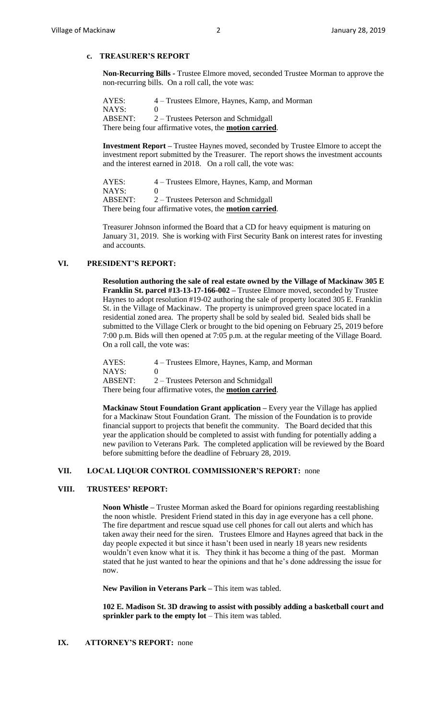# **c. TREASURER'S REPORT**

**Non-Recurring Bills -** Trustee Elmore moved, seconded Trustee Morman to approve the non-recurring bills. On a roll call, the vote was:

AYES: 4 – Trustees Elmore, Haynes, Kamp, and Morman NAYS: 0 ABSENT: 2 – Trustees Peterson and Schmidgall There being four affirmative votes, the **motion carried**.

**Investment Report –** Trustee Haynes moved, seconded by Trustee Elmore to accept the investment report submitted by the Treasurer. The report shows the investment accounts and the interest earned in 2018. On a roll call, the vote was:

AYES: 4 – Trustees Elmore, Haynes, Kamp, and Morman NAYS: 0 ABSENT: 2 – Trustees Peterson and Schmidgall There being four affirmative votes, the **motion carried**.

Treasurer Johnson informed the Board that a CD for heavy equipment is maturing on January 31, 2019. She is working with First Security Bank on interest rates for investing and accounts.

#### **VI. PRESIDENT'S REPORT:**

**Resolution authoring the sale of real estate owned by the Village of Mackinaw 305 E Franklin St. parcel #13-13-17-166-002 –** Trustee Elmore moved, seconded by Trustee Haynes to adopt resolution #19-02 authoring the sale of property located 305 E. Franklin St. in the Village of Mackinaw. The property is unimproved green space located in a residential zoned area. The property shall be sold by sealed bid. Sealed bids shall be submitted to the Village Clerk or brought to the bid opening on February 25, 2019 before 7:00 p.m. Bids will then opened at 7:05 p.m. at the regular meeting of the Village Board. On a roll call, the vote was:

AYES: 4 – Trustees Elmore, Haynes, Kamp, and Morman NAYS: 0 ABSENT: 2 – Trustees Peterson and Schmidgall There being four affirmative votes, the **motion carried**.

**Mackinaw Stout Foundation Grant application –** Every year the Village has applied for a Mackinaw Stout Foundation Grant. The mission of the Foundation is to provide financial support to projects that benefit the community. The Board decided that this year the application should be completed to assist with funding for potentially adding a new pavilion to Veterans Park. The completed application will be reviewed by the Board before submitting before the deadline of February 28, 2019.

## **VII. LOCAL LIQUOR CONTROL COMMISSIONER'S REPORT:** none

#### **VIII. TRUSTEES' REPORT:**

**Noon Whistle –** Trustee Morman asked the Board for opinions regarding reestablishing the noon whistle. President Friend stated in this day in age everyone has a cell phone. The fire department and rescue squad use cell phones for call out alerts and which has taken away their need for the siren. Trustees Elmore and Haynes agreed that back in the day people expected it but since it hasn't been used in nearly 18 years new residents wouldn't even know what it is. They think it has become a thing of the past. Morman stated that he just wanted to hear the opinions and that he's done addressing the issue for now.

**New Pavilion in Veterans Park –** This item was tabled.

**102 E. Madison St. 3D drawing to assist with possibly adding a basketball court and sprinkler park to the empty lot** – This item was tabled.

## **IX. ATTORNEY'S REPORT:** none